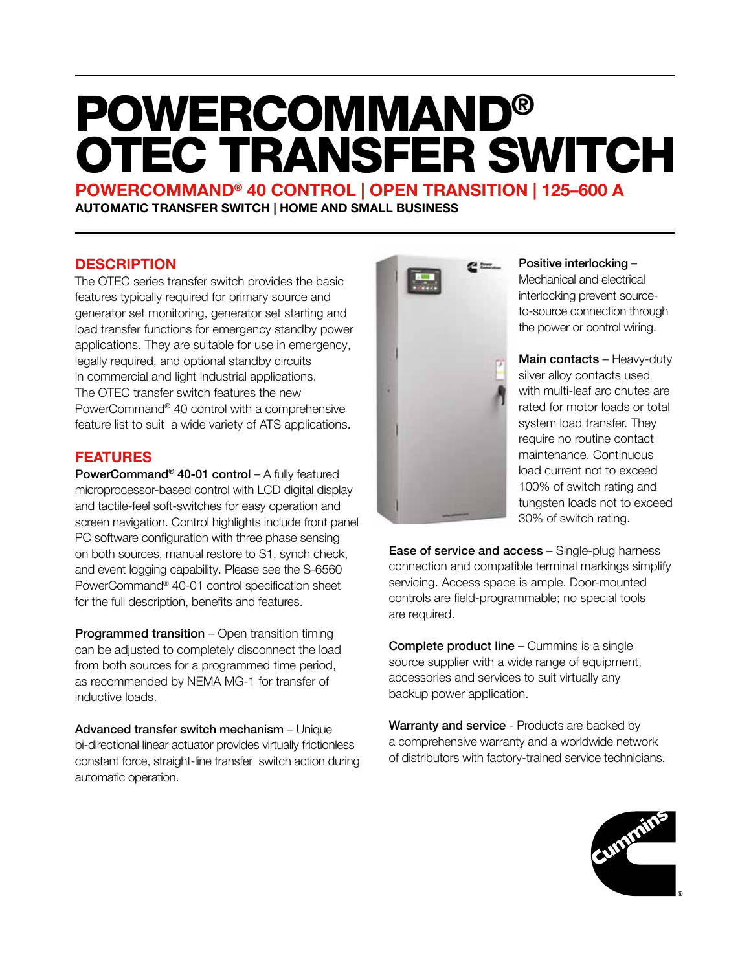# POWERCOMMAND® OTEC TRANSFER SWITCH

POWERCOMMAND® 40 CONTROL | OPEN TRANSITION | 125–600 A AUTOMATIC TRANSFER SWITCH | HOME AND SMALL BUSINESS

## **DESCRIPTION**

The OTEC series transfer switch provides the basic features typically required for primary source and generator set monitoring, generator set starting and load transfer functions for emergency standby power applications. They are suitable for use in emergency, legally required, and optional standby circuits in commercial and light industrial applications. The OTEC transfer switch features the new PowerCommand® 40 control with a comprehensive feature list to suit a wide variety of ATS applications.

## FEATURES

PowerCommand® 40-01 control – A fully featured microprocessor-based control with LCD digital display and tactile-feel soft-switches for easy operation and screen navigation. Control highlights include front panel PC software configuration with three phase sensing on both sources, manual restore to S1, synch check, and event logging capability. Please see the S-6560 PowerCommand® 40-01 control specification sheet for the full description, benefits and features.

Programmed transition – Open transition timing can be adjusted to completely disconnect the load from both sources for a programmed time period, as recommended by NEMA MG-1 for transfer of inductive loads.

Advanced transfer switch mechanism – Unique bi-directional linear actuator provides virtually frictionless constant force, straight-line transfer switch action during automatic operation.



#### Positive interlocking –

Mechanical and electrical interlocking prevent sourceto-source connection through the power or control wiring.

Main contacts - Heavy-duty silver alloy contacts used with multi-leaf arc chutes are rated for motor loads or total system load transfer. They require no routine contact maintenance. Continuous load current not to exceed 100% of switch rating and tungsten loads not to exceed 30% of switch rating.

Ease of service and access – Single-plug harness connection and compatible terminal markings simplify servicing. Access space is ample. Door-mounted controls are field-programmable; no special tools are required.

Complete product line – Cummins is a single source supplier with a wide range of equipment, accessories and services to suit virtually any backup power application.

Warranty and service - Products are backed by a comprehensive warranty and a worldwide network of distributors with factory-trained service technicians.

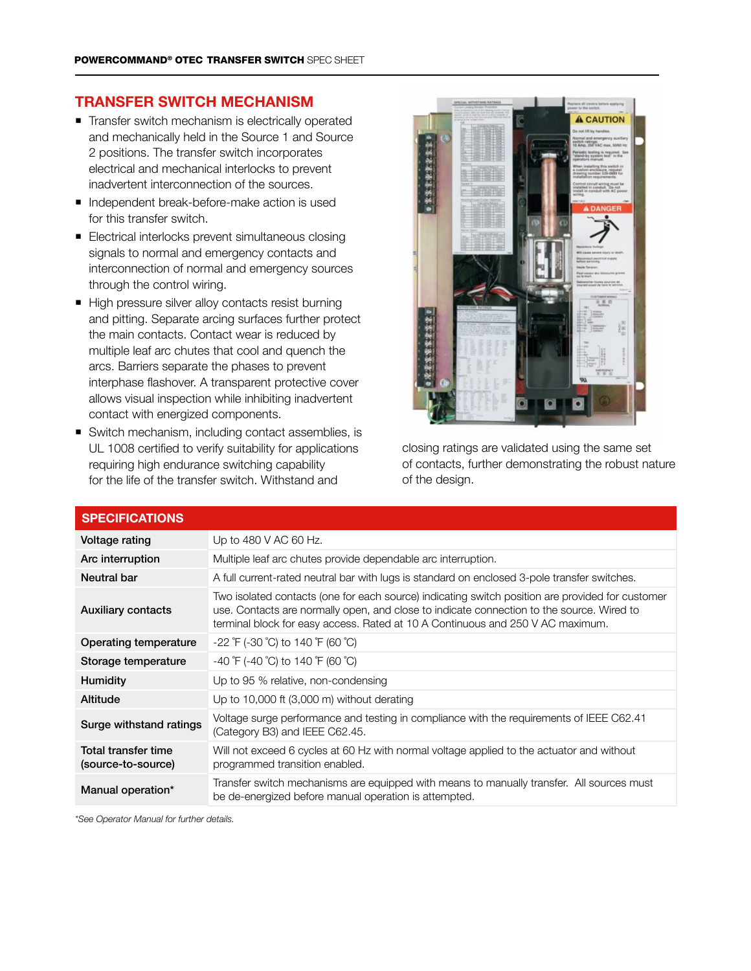### TRANSFER SWITCH MECHANISM

- Transfer switch mechanism is electrically operated and mechanically held in the Source 1 and Source 2 positions. The transfer switch incorporates electrical and mechanical interlocks to prevent inadvertent interconnection of the sources.
- Independent break-before-make action is used for this transfer switch.
- Electrical interlocks prevent simultaneous closing signals to normal and emergency contacts and interconnection of normal and emergency sources through the control wiring.
- High pressure silver alloy contacts resist burning and pitting. Separate arcing surfaces further protect the main contacts. Contact wear is reduced by multiple leaf arc chutes that cool and quench the arcs. Barriers separate the phases to prevent interphase flashover. A transparent protective cover allows visual inspection while inhibiting inadvertent contact with energized components.
- Switch mechanism, including contact assemblies, is UL 1008 certified to verify suitability for applications requiring high endurance switching capability for the life of the transfer switch. Withstand and



closing ratings are validated using the same set of contacts, further demonstrating the robust nature of the design.

| Voltage rating                                   | Up to 480 V AC 60 Hz.                                                                                                                                                                                                                                                           |
|--------------------------------------------------|---------------------------------------------------------------------------------------------------------------------------------------------------------------------------------------------------------------------------------------------------------------------------------|
| Arc interruption                                 | Multiple leaf arc chutes provide dependable arc interruption.                                                                                                                                                                                                                   |
| <b>Neutral bar</b>                               | A full current-rated neutral bar with lugs is standard on enclosed 3-pole transfer switches.                                                                                                                                                                                    |
| <b>Auxiliary contacts</b>                        | Two isolated contacts (one for each source) indicating switch position are provided for customer<br>use. Contacts are normally open, and close to indicate connection to the source. Wired to<br>terminal block for easy access. Rated at 10 A Continuous and 250 V AC maximum. |
| Operating temperature                            | -22 °F (-30 °C) to 140 °F (60 °C)                                                                                                                                                                                                                                               |
| Storage temperature                              | $-40$ $\degree$ F (-40 $\degree$ C) to 140 $\degree$ F (60 $\degree$ C)                                                                                                                                                                                                         |
| <b>Humidity</b>                                  | Up to 95 % relative, non-condensing                                                                                                                                                                                                                                             |
| Altitude                                         | Up to 10,000 ft $(3,000 \text{ m})$ without derating                                                                                                                                                                                                                            |
| Surge withstand ratings                          | Voltage surge performance and testing in compliance with the requirements of IEEE C62.41<br>(Category B3) and IEEE C62.45.                                                                                                                                                      |
| <b>Total transfer time</b><br>(source-to-source) | Will not exceed 6 cycles at 60 Hz with normal voltage applied to the actuator and without<br>programmed transition enabled.                                                                                                                                                     |
| Manual operation*                                | Transfer switch mechanisms are equipped with means to manually transfer. All sources must<br>be de-energized before manual operation is attempted.                                                                                                                              |

### SPECIFICATIONS

*\*See Operator Manual for further details.*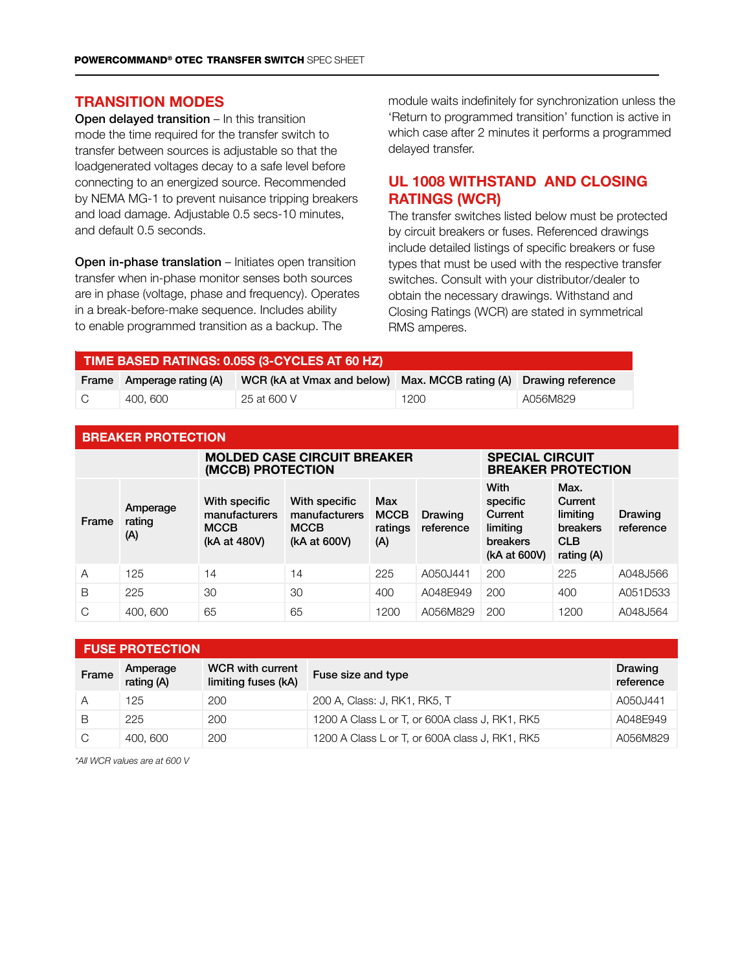#### TRANSITION MODES

Open delayed transition – In this transition mode the time required for the transfer switch to transfer between sources is adjustable so that the loadgenerated voltages decay to a safe level before connecting to an energized source. Recommended by NEMA MG-1 to prevent nuisance tripping breakers and load damage. Adjustable 0.5 secs-10 minutes, and default 0.5 seconds.

Open in-phase translation – Initiates open transition transfer when in-phase monitor senses both sources are in phase (voltage, phase and frequency). Operates in a break-before-make sequence. Includes ability to enable programmed transition as a backup. The

module waits indefinitely for synchronization unless the 'Return to programmed transition' function is active in which case after 2 minutes it performs a programmed delayed transfer.

## UL 1008 WITHSTAND AND CLOSING RATINGS (WCR)

The transfer switches listed below must be protected by circuit breakers or fuses. Referenced drawings include detailed listings of specific breakers or fuse types that must be used with the respective transfer switches. Consult with your distributor/dealer to obtain the necessary drawings. Withstand and Closing Ratings (WCR) are stated in symmetrical RMS amperes.

| TIME BASED RATINGS: 0.05S (3-CYCLES AT 60 HZ) |                           |                                                                   |      |          |  |  |  |  |
|-----------------------------------------------|---------------------------|-------------------------------------------------------------------|------|----------|--|--|--|--|
|                                               | Frame Amperage rating (A) | WCR (kA at Vmax and below) Max. MCCB rating (A) Drawing reference |      |          |  |  |  |  |
| ∣C.                                           | 400.600                   | 25 at 600 V                                                       | 1200 | A056M829 |  |  |  |  |

|  |  |  | <b>BREAKER PROTECTION</b> |  |  |  |  |  |
|--|--|--|---------------------------|--|--|--|--|--|
|  |  |  |                           |  |  |  |  |  |

|       |                           | <b>MOLDED CASE CIRCUIT BREAKER</b><br>(MCCB) PROTECTION       | <b>SPECIAL CIRCUIT</b><br><b>BREAKER PROTECTION</b>           |                                      |                      |                                                                     |                                                                     |                      |
|-------|---------------------------|---------------------------------------------------------------|---------------------------------------------------------------|--------------------------------------|----------------------|---------------------------------------------------------------------|---------------------------------------------------------------------|----------------------|
| Frame | Amperage<br>rating<br>(A) | With specific<br>manufacturers<br><b>MCCB</b><br>(kA at 480V) | With specific<br>manufacturers<br><b>MCCB</b><br>(kA at 600V) | Max<br><b>MCCB</b><br>ratings<br>(A) | Drawing<br>reference | With<br>specific<br>Current<br>limiting<br>breakers<br>(kA at 600V) | Max.<br>Current<br>limiting<br>breakers<br><b>CLB</b><br>rating (A) | Drawing<br>reference |
| A     | 125                       | 14                                                            | 14                                                            | 225                                  | A050J441             | 200                                                                 | 225                                                                 | A048J566             |
| B     | 225                       | 30                                                            | 30                                                            | 400                                  | A048E949             | 200                                                                 | 400                                                                 | A051D533             |
| C     | 400, 600                  | 65                                                            | 65                                                            | 1200                                 | A056M829             | 200                                                                 | 1200                                                                | A048J564             |

|       | <b>FUSE PROTECTION</b> |                                                |                                                |                      |  |  |  |  |  |
|-------|------------------------|------------------------------------------------|------------------------------------------------|----------------------|--|--|--|--|--|
| Frame | Amperage<br>rating (A) | <b>WCR</b> with current<br>limiting fuses (kA) | Fuse size and type                             | Drawing<br>reference |  |  |  |  |  |
| Α     | 125                    | 200                                            | 200 A, Class: J, RK1, RK5, T                   | A050J441             |  |  |  |  |  |
| B     | 225                    | 200                                            | 1200 A Class L or T, or 600A class J, RK1, RK5 | A048E949             |  |  |  |  |  |
| C     | 400, 600               | 200                                            | 1200 A Class L or T, or 600A class J, RK1, RK5 | A056M829             |  |  |  |  |  |

*\*All WCR values are at 600 V*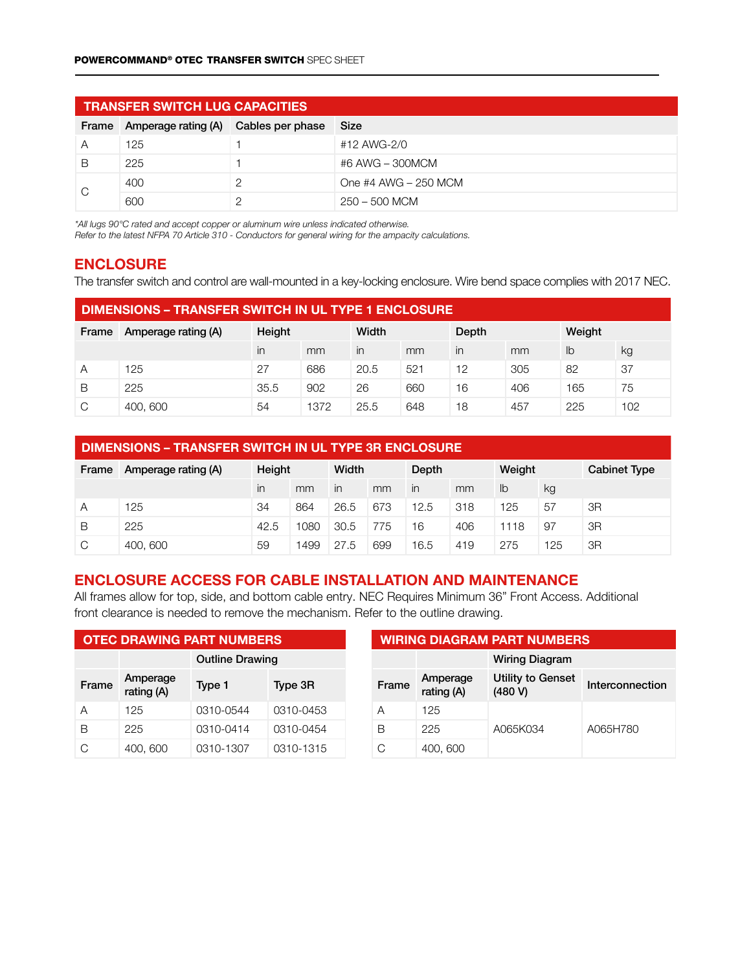|       | <b>TRANSFER SWITCH LUG CAPACITIES</b> |  |                      |  |  |  |  |  |  |
|-------|---------------------------------------|--|----------------------|--|--|--|--|--|--|
| Frame | Amperage rating (A) Cables per phase  |  | Size                 |  |  |  |  |  |  |
| A     | 125                                   |  | #12 AWG-2/0          |  |  |  |  |  |  |
| B     | 225                                   |  | #6 AWG - 300MCM      |  |  |  |  |  |  |
|       | 400                                   |  | One #4 AWG - 250 MCM |  |  |  |  |  |  |
| C     | 600                                   |  | 250 – 500 MCM        |  |  |  |  |  |  |

*\*All lugs 90°C rated and accept copper or aluminum wire unless indicated otherwise.*

*Refer to the latest NFPA 70 Article 310 - Conductors for general wiring for the ampacity calculations.*

## ENCLOSURE

The transfer switch and control are wall-mounted in a key-locking enclosure. Wire bend space complies with 2017 NEC.

| <b>DIMENSIONS – TRANSFER SWITCH IN UL TYPE 1 ENCLOSURE</b> |                     |        |      |       |     |       |     |        |     |
|------------------------------------------------------------|---------------------|--------|------|-------|-----|-------|-----|--------|-----|
| Frame                                                      | Amperage rating (A) | Height |      | Width |     | Depth |     | Weight |     |
|                                                            |                     | in     | mm   | in    | mm  | in    | mm  | lb     | kg  |
| Α                                                          | 125                 | 27     | 686  | 20.5  | 521 | 12    | 305 | 82     | 37  |
| В                                                          | 225                 | 35.5   | 902  | 26    | 660 | 16    | 406 | 165    | 75  |
| C                                                          | 400, 600            | 54     | 1372 | 25.5  | 648 | 18    | 457 | 225    | 102 |

| DIMENSIONS - TRANSFER SWITCH IN UL TYPE 3R ENCLOSURE |                               |      |      |              |     |                |     |        |     |                     |
|------------------------------------------------------|-------------------------------|------|------|--------------|-----|----------------|-----|--------|-----|---------------------|
| Frame                                                | Height<br>Amperage rating (A) |      |      | Width        |     | Depth          |     | Weight |     | <b>Cabinet Type</b> |
|                                                      |                               | in   | mm   | $\mathsf{I}$ | mm  | $\overline{m}$ | mm  | lb     | kg  |                     |
| A                                                    | 125                           | 34   | 864  | 26.5         | 673 | 12.5           | 318 | 125    | 57  | 3R                  |
| В                                                    | 225                           | 42.5 | 1080 | 30.5         | 775 | 16             | 406 | 1118   | 97  | 3R                  |
| C                                                    | 400, 600                      | 59   | 1499 | 27.5         | 699 | 16.5           | 419 | 275    | 125 | 3R                  |

## ENCLOSURE ACCESS FOR CABLE INSTALLATION AND MAINTENANCE

All frames allow for top, side, and bottom cable entry. NEC Requires Minimum 36" Front Access. Additional front clearance is needed to remove the mechanism. Refer to the outline drawing.

| <b>OTEC DRAWING PART NUMBERS</b> |                        |                        |           |  | <b>WIRING DIAGRAM PART NUMBERS</b> |                        |                                     |                 |  |
|----------------------------------|------------------------|------------------------|-----------|--|------------------------------------|------------------------|-------------------------------------|-----------------|--|
|                                  |                        | <b>Outline Drawing</b> |           |  |                                    |                        | <b>Wiring Diagram</b>               |                 |  |
| Frame                            | Amperage<br>rating (A) | Type 1                 | Type 3R   |  | Frame                              | Amperage<br>rating (A) | <b>Utility to Genset</b><br>(480 V) | Interconnection |  |
| Α                                | 125                    | 0310-0544              | 0310-0453 |  | Α                                  | 125                    |                                     |                 |  |
| B                                | 225                    | 0310-0414              | 0310-0454 |  | B                                  | 225                    | A065K034                            | A065H780        |  |
| C                                | 400, 600               | 0310-1307              | 0310-1315 |  | С                                  | 400, 600               |                                     |                 |  |